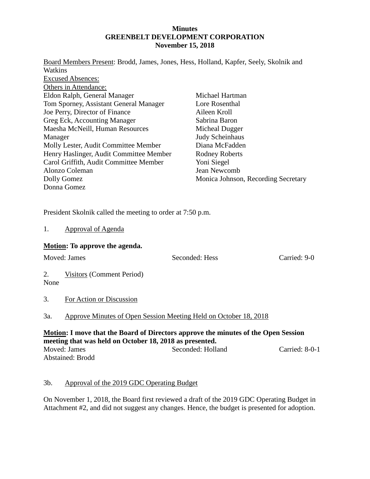## **Minutes GREENBELT DEVELOPMENT CORPORATION November 15, 2018**

| Board Members Present: Brodd, James, Jones, Hess, Holland, Kapfer, Seely, Skolnik and |                                     |  |  |
|---------------------------------------------------------------------------------------|-------------------------------------|--|--|
| Watkins                                                                               |                                     |  |  |
| <b>Excused Absences:</b>                                                              |                                     |  |  |
| Others in Attendance:                                                                 |                                     |  |  |
| Eldon Ralph, General Manager                                                          | Michael Hartman                     |  |  |
| Tom Sporney, Assistant General Manager                                                | Lore Rosenthal                      |  |  |
| Joe Perry, Director of Finance                                                        | Aileen Kroll                        |  |  |
| Greg Eck, Accounting Manager                                                          | Sabrina Baron                       |  |  |
| Maesha McNeill, Human Resources                                                       | Micheal Dugger                      |  |  |
| Manager                                                                               | Judy Scheinhaus                     |  |  |
| Molly Lester, Audit Committee Member                                                  | Diana McFadden                      |  |  |
| Henry Haslinger, Audit Committee Member                                               | <b>Rodney Roberts</b>               |  |  |
| Carol Griffith, Audit Committee Member                                                | Yoni Siegel                         |  |  |
| Alonzo Coleman                                                                        | Jean Newcomb                        |  |  |
| Dolly Gomez                                                                           | Monica Johnson, Recording Secretary |  |  |
| Donna Gomez                                                                           |                                     |  |  |

President Skolnik called the meeting to order at 7:50 p.m.

1. Approval of Agenda

## **Motion: To approve the agenda.**

|            | Moved: James                                                                                                                                  | Seconded: Hess    | Carried: 9-0   |
|------------|-----------------------------------------------------------------------------------------------------------------------------------------------|-------------------|----------------|
| 2.<br>None | <b>Visitors</b> (Comment Period)                                                                                                              |                   |                |
| 3.         | For Action or Discussion                                                                                                                      |                   |                |
| 3a.        | Approve Minutes of Open Session Meeting Held on October 18, 2018                                                                              |                   |                |
|            | Motion: I move that the Board of Directors approve the minutes of the Open Session<br>meeting that was held on October 18, 2018 as presented. |                   |                |
|            | Moved: James                                                                                                                                  | Seconded: Holland | Carried: 8-0-1 |

Abstained: Brodd

## 3b. Approval of the 2019 GDC Operating Budget

On November 1, 2018, the Board first reviewed a draft of the 2019 GDC Operating Budget in Attachment #2, and did not suggest any changes. Hence, the budget is presented for adoption.